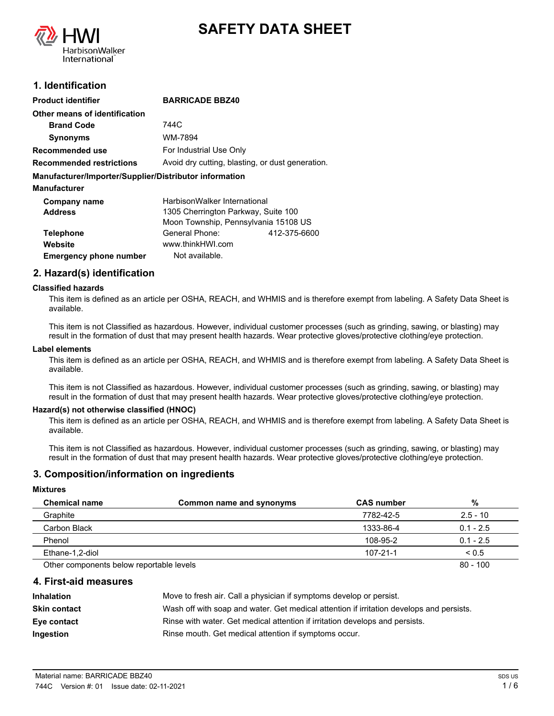



# **1. Identification**

| <b>Product identifier</b>                              | <b>BARRICADE BBZ40</b>                           |              |
|--------------------------------------------------------|--------------------------------------------------|--------------|
|                                                        |                                                  |              |
| Other means of identification                          |                                                  |              |
| <b>Brand Code</b>                                      | 744C                                             |              |
| <b>Synonyms</b>                                        | WM-7894                                          |              |
| Recommended use                                        | For Industrial Use Only                          |              |
| <b>Recommended restrictions</b>                        | Avoid dry cutting, blasting, or dust generation. |              |
| Manufacturer/Importer/Supplier/Distributor information |                                                  |              |
| <b>Manufacturer</b>                                    |                                                  |              |
| Company name                                           | HarbisonWalker International                     |              |
| <b>Address</b>                                         | 1305 Cherrington Parkway, Suite 100              |              |
|                                                        | Moon Township, Pennsylvania 15108 US             |              |
| <b>Telephone</b>                                       | General Phone:                                   | 412-375-6600 |
| Website                                                | www.thinkHWI.com                                 |              |
| <b>Emergency phone number</b>                          | Not available.                                   |              |

## **2. Hazard(s) identification**

#### **Classified hazards**

This item is defined as an article per OSHA, REACH, and WHMIS and is therefore exempt from labeling. A Safety Data Sheet is available.

This item is not Classified as hazardous. However, individual customer processes (such as grinding, sawing, or blasting) may result in the formation of dust that may present health hazards. Wear protective gloves/protective clothing/eye protection.

#### **Label elements**

This item is defined as an article per OSHA, REACH, and WHMIS and is therefore exempt from labeling. A Safety Data Sheet is available.

This item is not Classified as hazardous. However, individual customer processes (such as grinding, sawing, or blasting) may result in the formation of dust that may present health hazards. Wear protective gloves/protective clothing/eye protection.

#### **Hazard(s) not otherwise classified (HNOC)**

This item is defined as an article per OSHA, REACH, and WHMIS and is therefore exempt from labeling. A Safety Data Sheet is available.

This item is not Classified as hazardous. However, individual customer processes (such as grinding, sawing, or blasting) may result in the formation of dust that may present health hazards. Wear protective gloves/protective clothing/eye protection.

### **3. Composition/information on ingredients**

#### **Mixtures**

| <b>Chemical name</b>                     | Common name and synonyms | <b>CAS number</b> | %           |
|------------------------------------------|--------------------------|-------------------|-------------|
| Graphite                                 |                          | 7782-42-5         | $2.5 - 10$  |
| Carbon Black                             |                          | 1333-86-4         | $0.1 - 2.5$ |
| Phenol                                   |                          | 108-95-2          | $0.1 - 2.5$ |
| Ethane-1,2-diol                          |                          | $107 - 21 - 1$    | < 0.5       |
| Other components below reportable levels |                          |                   | $80 - 100$  |

#### **4. First-aid measures**

| <b>Inhalation</b> | Move to fresh air. Call a physician if symptoms develop or persist.                      |
|-------------------|------------------------------------------------------------------------------------------|
| Skin contact      | Wash off with soap and water. Get medical attention if irritation develops and persists. |
| Eye contact       | Rinse with water. Get medical attention if irritation develops and persists.             |
| Ingestion         | Rinse mouth. Get medical attention if symptoms occur.                                    |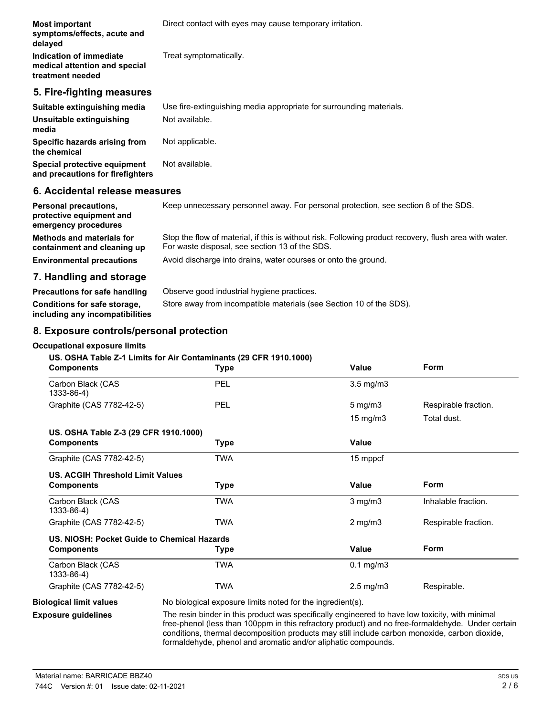| <b>Most important</b><br>symptoms/effects, acute and<br>delayed              | Direct contact with eyes may cause temporary irritation.            |
|------------------------------------------------------------------------------|---------------------------------------------------------------------|
| Indication of immediate<br>medical attention and special<br>treatment needed | Treat symptomatically.                                              |
| 5. Fire-fighting measures                                                    |                                                                     |
| Suitable extinguishing media                                                 | Use fire-extinguishing media appropriate for surrounding materials. |
| Unsuitable extinguishing<br>media                                            | Not available.                                                      |
| Specific hazards arising from<br>the chemical                                | Not applicable.                                                     |
| Special protective equipment<br>and precautions for firefighters             | Not available.                                                      |
| 6. Accidental release measures                                               |                                                                     |

#### **Personal precautions,** Keep unnecessary personnel away. For personal protection, see section 8 of the SDS. **protective equipment and emergency procedures** Stop the flow of material, if this is without risk. Following product recovery, flush area with water. For waste disposal, see section 13 of the SDS. **Methods and materials for containment and cleaning up Environmental precautions** Avoid discharge into drains, water courses or onto the ground.

# **7. Handling and storage**

| Store away from incompatible materials (see Section 10 of the SDS). |
|---------------------------------------------------------------------|
|                                                                     |

# **8. Exposure controls/personal protection**

### **Occupational exposure limits**

## **US. OSHA Table Z-1 Limits for Air Contaminants (29 CFR 1910.1000)**

| <b>Components</b>                           | <b>Type</b>                                                                                                                                                                                                                                                                                           | Value                | Form                 |
|---------------------------------------------|-------------------------------------------------------------------------------------------------------------------------------------------------------------------------------------------------------------------------------------------------------------------------------------------------------|----------------------|----------------------|
| Carbon Black (CAS<br>1333-86-4)             | PEL                                                                                                                                                                                                                                                                                                   | $3.5 \text{ mg/m}$   |                      |
| Graphite (CAS 7782-42-5)                    | PEL                                                                                                                                                                                                                                                                                                   | $5 \text{ mg/m}$     | Respirable fraction. |
|                                             |                                                                                                                                                                                                                                                                                                       | 15 mg/m3             | Total dust.          |
| US. OSHA Table Z-3 (29 CFR 1910.1000)       |                                                                                                                                                                                                                                                                                                       |                      |                      |
| <b>Components</b>                           | Type                                                                                                                                                                                                                                                                                                  | <b>Value</b>         |                      |
| Graphite (CAS 7782-42-5)                    | <b>TWA</b>                                                                                                                                                                                                                                                                                            | 15 mppcf             |                      |
| <b>US. ACGIH Threshold Limit Values</b>     |                                                                                                                                                                                                                                                                                                       |                      |                      |
| <b>Components</b>                           | <b>Type</b>                                                                                                                                                                                                                                                                                           | <b>Value</b>         | Form                 |
| Carbon Black (CAS<br>1333-86-4)             | <b>TWA</b>                                                                                                                                                                                                                                                                                            | $3$ mg/m $3$         | Inhalable fraction.  |
| Graphite (CAS 7782-42-5)                    | <b>TWA</b>                                                                                                                                                                                                                                                                                            | $2$ mg/m $3$         | Respirable fraction. |
| US. NIOSH: Pocket Guide to Chemical Hazards |                                                                                                                                                                                                                                                                                                       |                      |                      |
| <b>Components</b>                           | Type                                                                                                                                                                                                                                                                                                  | <b>Value</b>         | Form                 |
| Carbon Black (CAS<br>1333-86-4)             | <b>TWA</b>                                                                                                                                                                                                                                                                                            | $0.1$ mg/m $3$       |                      |
| Graphite (CAS 7782-42-5)                    | <b>TWA</b>                                                                                                                                                                                                                                                                                            | $2.5 \text{ mg/m}$ 3 | Respirable.          |
| <b>Biological limit values</b>              | No biological exposure limits noted for the ingredient(s).                                                                                                                                                                                                                                            |                      |                      |
| <b>Exposure guidelines</b>                  | The resin binder in this product was specifically engineered to have low toxicity, with minimal<br>free-phenol (less than 100ppm in this refractory product) and no free-formaldehyde. Under certain<br>conditions, thermal decomposition products may still include carbon monoxide, carbon dioxide, |                      |                      |

formaldehyde, phenol and aromatic and/or aliphatic compounds.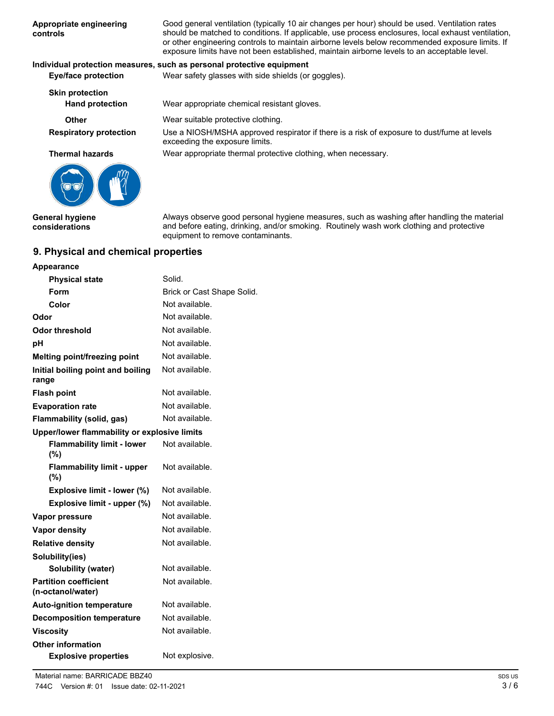| Appropriate engineering<br>controls | Good general ventilation (typically 10 air changes per hour) should be used. Ventilation rates<br>should be matched to conditions. If applicable, use process enclosures, local exhaust ventilation,<br>or other engineering controls to maintain airborne levels below recommended exposure limits. If<br>exposure limits have not been established, maintain airborne levels to an acceptable level. |
|-------------------------------------|--------------------------------------------------------------------------------------------------------------------------------------------------------------------------------------------------------------------------------------------------------------------------------------------------------------------------------------------------------------------------------------------------------|
|                                     | Individual protection measures, such as personal protective equipment                                                                                                                                                                                                                                                                                                                                  |
| <b>Eye/face protection</b>          | Wear safety glasses with side shields (or goggles).                                                                                                                                                                                                                                                                                                                                                    |
| <b>Skin protection</b>              |                                                                                                                                                                                                                                                                                                                                                                                                        |

**Hand protection** Wear appropriate chemical resistant gloves. **Other** Wear suitable protective clothing. Use a NIOSH/MSHA approved respirator if there is a risk of exposure to dust/fume at levels exceeding the exposure limits. **Respiratory protection Thermal hazards** Wear appropriate thermal protective clothing, when necessary.



**General hygiene considerations**

Always observe good personal hygiene measures, such as washing after handling the material and before eating, drinking, and/or smoking. Routinely wash work clothing and protective equipment to remove contaminants.

# **9. Physical and chemical properties**

| Appearance                                        |                            |
|---------------------------------------------------|----------------------------|
| <b>Physical state</b>                             | Solid.                     |
| Form                                              | Brick or Cast Shape Solid. |
| Color                                             | Not available.             |
| Odor                                              | Not available.             |
| Odor threshold                                    | Not available.             |
| рH                                                | Not available.             |
| Melting point/freezing point                      | Not available.             |
| Initial boiling point and boiling<br>range        | Not available.             |
| <b>Flash point</b>                                | Not available.             |
| <b>Evaporation rate</b>                           | Not available.             |
| Flammability (solid, gas)                         | Not available.             |
| Upper/lower flammability or explosive limits      |                            |
| <b>Flammability limit - lower</b><br>(%)          | Not available.             |
| <b>Flammability limit - upper</b><br>$(\%)$       | Not available.             |
| Explosive limit - lower (%)                       | Not available.             |
| Explosive limit - upper (%)                       | Not available.             |
| Vapor pressure                                    | Not available.             |
| <b>Vapor density</b>                              | Not available.             |
| <b>Relative density</b>                           | Not available.             |
| Solubility(ies)                                   |                            |
| Solubility (water)                                | Not available.             |
| <b>Partition coefficient</b><br>(n-octanol/water) | Not available.             |
| <b>Auto-ignition temperature</b>                  | Not available.             |
| <b>Decomposition temperature</b>                  | Not available.             |
| <b>Viscosity</b>                                  | Not available.             |
| <b>Other information</b>                          |                            |
| <b>Explosive properties</b>                       | Not explosive.             |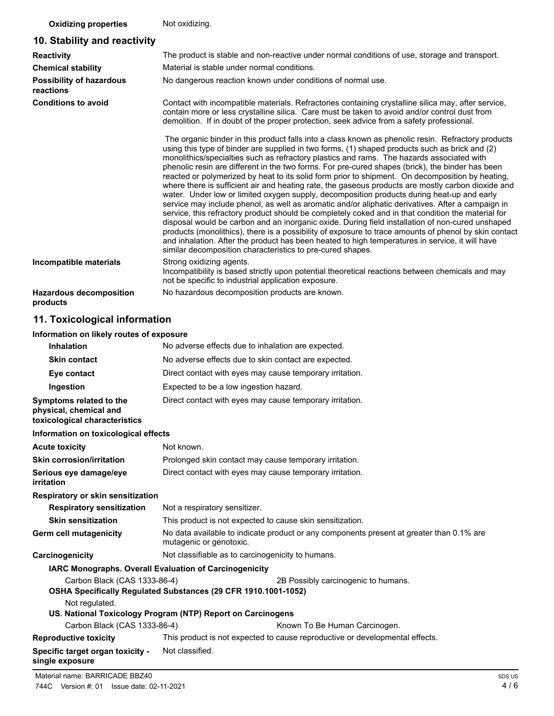## **Oxidizing properties** Not oxidizing.

# **10. Stability and reactivity**

| <b>Reactivity</b>                          | The product is stable and non-reactive under normal conditions of use, storage and transport.                                                                                                                                                                                                                                                                                                                                                                                                                                                                                                                                                                                                                                                                                                                                                                                                                                                                                                                                                                                                                                                                                                                                                                                                          |  |
|--------------------------------------------|--------------------------------------------------------------------------------------------------------------------------------------------------------------------------------------------------------------------------------------------------------------------------------------------------------------------------------------------------------------------------------------------------------------------------------------------------------------------------------------------------------------------------------------------------------------------------------------------------------------------------------------------------------------------------------------------------------------------------------------------------------------------------------------------------------------------------------------------------------------------------------------------------------------------------------------------------------------------------------------------------------------------------------------------------------------------------------------------------------------------------------------------------------------------------------------------------------------------------------------------------------------------------------------------------------|--|
| <b>Chemical stability</b>                  | Material is stable under normal conditions.                                                                                                                                                                                                                                                                                                                                                                                                                                                                                                                                                                                                                                                                                                                                                                                                                                                                                                                                                                                                                                                                                                                                                                                                                                                            |  |
| Possibility of hazardous<br>reactions      | No dangerous reaction known under conditions of normal use.                                                                                                                                                                                                                                                                                                                                                                                                                                                                                                                                                                                                                                                                                                                                                                                                                                                                                                                                                                                                                                                                                                                                                                                                                                            |  |
| <b>Conditions to avoid</b>                 | Contact with incompatible materials. Refractories containing crystalline silica may, after service,<br>contain more or less crystalline silica. Care must be taken to avoid and/or control dust from<br>demolition. If in doubt of the proper protection, seek advice from a safety professional.                                                                                                                                                                                                                                                                                                                                                                                                                                                                                                                                                                                                                                                                                                                                                                                                                                                                                                                                                                                                      |  |
|                                            | The organic binder in this product falls into a class known as phenolic resin. Refractory products<br>using this type of binder are supplied in two forms, (1) shaped products such as brick and (2)<br>monolithics/specialties such as refractory plastics and rams. The hazards associated with<br>phenolic resin are different in the two forms. For pre-cured shapes (brick), the binder has been<br>reacted or polymerized by heat to its solid form prior to shipment. On decomposition by heating,<br>where there is sufficient air and heating rate, the gaseous products are mostly carbon dioxide and<br>water. Under low or limited oxygen supply, decomposition products during heat-up and early<br>service may include phenol, as well as aromatic and/or aliphatic derivatives. After a campaign in<br>service, this refractory product should be completely coked and in that condition the material for<br>disposal would be carbon and an inorganic oxide. During field installation of non-cured unshaped<br>products (monolithics), there is a possibility of exposure to trace amounts of phenol by skin contact<br>and inhalation. After the product has been heated to high temperatures in service, it will have<br>similar decomposition characteristics to pre-cured shapes. |  |
| Incompatible materials                     | Strong oxidizing agents.<br>Incompatibility is based strictly upon potential theoretical reactions between chemicals and may<br>not be specific to industrial application exposure.                                                                                                                                                                                                                                                                                                                                                                                                                                                                                                                                                                                                                                                                                                                                                                                                                                                                                                                                                                                                                                                                                                                    |  |
| <b>Hazardous decomposition</b><br>products | No hazardous decomposition products are known.                                                                                                                                                                                                                                                                                                                                                                                                                                                                                                                                                                                                                                                                                                                                                                                                                                                                                                                                                                                                                                                                                                                                                                                                                                                         |  |

# **11. Toxicological information**

## **Information on likely routes of exposure**

| <b>Inhalation</b>                                                                  | No adverse effects due to inhalation are expected.                                                                  |  |
|------------------------------------------------------------------------------------|---------------------------------------------------------------------------------------------------------------------|--|
| <b>Skin contact</b>                                                                | No adverse effects due to skin contact are expected.                                                                |  |
| Eye contact                                                                        | Direct contact with eyes may cause temporary irritation.                                                            |  |
| Ingestion                                                                          | Expected to be a low ingestion hazard.                                                                              |  |
| Symptoms related to the<br>physical, chemical and<br>toxicological characteristics | Direct contact with eyes may cause temporary irritation.                                                            |  |
| Information on toxicological effects                                               |                                                                                                                     |  |
| <b>Acute toxicity</b>                                                              | Not known.                                                                                                          |  |
| <b>Skin corrosion/irritation</b>                                                   | Prolonged skin contact may cause temporary irritation.                                                              |  |
| Serious eye damage/eye<br>irritation                                               | Direct contact with eyes may cause temporary irritation.                                                            |  |
| Respiratory or skin sensitization                                                  |                                                                                                                     |  |
| <b>Respiratory sensitization</b>                                                   | Not a respiratory sensitizer.                                                                                       |  |
| <b>Skin sensitization</b>                                                          | This product is not expected to cause skin sensitization.                                                           |  |
| Germ cell mutagenicity                                                             | No data available to indicate product or any components present at greater than 0.1% are<br>mutagenic or genotoxic. |  |
| Carcinogenicity                                                                    | Not classifiable as to carcinogenicity to humans.                                                                   |  |
|                                                                                    | <b>IARC Monographs. Overall Evaluation of Carcinogenicity</b>                                                       |  |
| Carbon Black (CAS 1333-86-4)                                                       | 2B Possibly carcinogenic to humans.<br>OSHA Specifically Regulated Substances (29 CFR 1910.1001-1052)               |  |
| Not regulated.                                                                     |                                                                                                                     |  |
|                                                                                    | US. National Toxicology Program (NTP) Report on Carcinogens                                                         |  |
| Carbon Black (CAS 1333-86-4)                                                       | Known To Be Human Carcinogen.                                                                                       |  |
| <b>Reproductive toxicity</b>                                                       | This product is not expected to cause reproductive or developmental effects.                                        |  |
| Specific target organ toxicity -<br>single exposure                                | Not classified.                                                                                                     |  |
|                                                                                    |                                                                                                                     |  |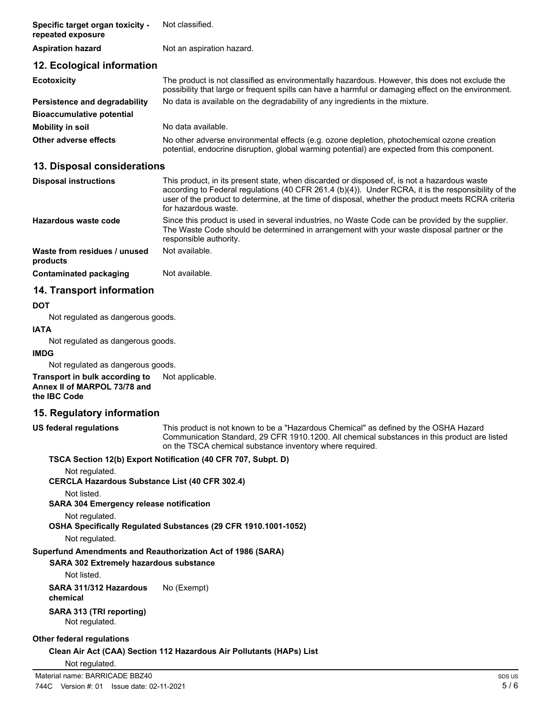| Specific target organ toxicity -<br>repeated exposure | Not classified.                                                                                                                                                                                       |
|-------------------------------------------------------|-------------------------------------------------------------------------------------------------------------------------------------------------------------------------------------------------------|
| <b>Aspiration hazard</b>                              | Not an aspiration hazard.                                                                                                                                                                             |
| 12. Ecological information                            |                                                                                                                                                                                                       |
| <b>Ecotoxicity</b>                                    | The product is not classified as environmentally hazardous. However, this does not exclude the<br>possibility that large or frequent spills can have a harmful or damaging effect on the environment. |
| Persistence and degradability                         | No data is available on the degradability of any ingredients in the mixture.                                                                                                                          |
| <b>Bioaccumulative potential</b>                      |                                                                                                                                                                                                       |
| <b>Mobility in soil</b>                               | No data available.                                                                                                                                                                                    |
| Other adverse effects                                 | No other adverse environmental effects (e.g. ozone depletion, photochemical ozone creation<br>potential, endocrine disruption, global warming potential) are expected from this component.            |

## **13. Disposal considerations**

| <b>Disposal instructions</b>             | This product, in its present state, when discarded or disposed of, is not a hazardous waste<br>according to Federal regulations (40 CFR 261.4 (b)(4)). Under RCRA, it is the responsibility of the<br>user of the product to determine, at the time of disposal, whether the product meets RCRA criteria<br>for hazardous waste. |
|------------------------------------------|----------------------------------------------------------------------------------------------------------------------------------------------------------------------------------------------------------------------------------------------------------------------------------------------------------------------------------|
| Hazardous waste code                     | Since this product is used in several industries, no Waste Code can be provided by the supplier.<br>The Waste Code should be determined in arrangement with your waste disposal partner or the<br>responsible authority.                                                                                                         |
| Waste from residues / unused<br>products | Not available.                                                                                                                                                                                                                                                                                                                   |
| Contaminated packaging                   | Not available.                                                                                                                                                                                                                                                                                                                   |

# **14. Transport information**

### **DOT**

Not regulated as dangerous goods.

### **IATA**

Not regulated as dangerous goods.

### **IMDG**

Not regulated as dangerous goods.

#### **Transport in bulk according to** Not applicable. **Annex II of MARPOL 73/78 and the IBC Code**

# **15. Regulatory information**

**US federal regulations**

This product is not known to be a "Hazardous Chemical" as defined by the OSHA Hazard Communication Standard, 29 CFR 1910.1200. All chemical substances in this product are listed on the TSCA chemical substance inventory where required.

### **TSCA Section 12(b) Export Notification (40 CFR 707, Subpt. D)**

Not regulated.

### **CERCLA Hazardous Substance List (40 CFR 302.4)**

Not listed.

**SARA 304 Emergency release notification**

Not regulated.

**OSHA Specifically Regulated Substances (29 CFR 1910.1001-1052)**

Not regulated.

### **Superfund Amendments and Reauthorization Act of 1986 (SARA)**

**SARA 302 Extremely hazardous substance**

Not listed.

### **SARA 311/312 Hazardous** No (Exempt) **chemical**

**SARA 313 (TRI reporting)** Not regulated.

### **Other federal regulations**

**Clean Air Act (CAA) Section 112 Hazardous Air Pollutants (HAPs) List**

Not regulated.